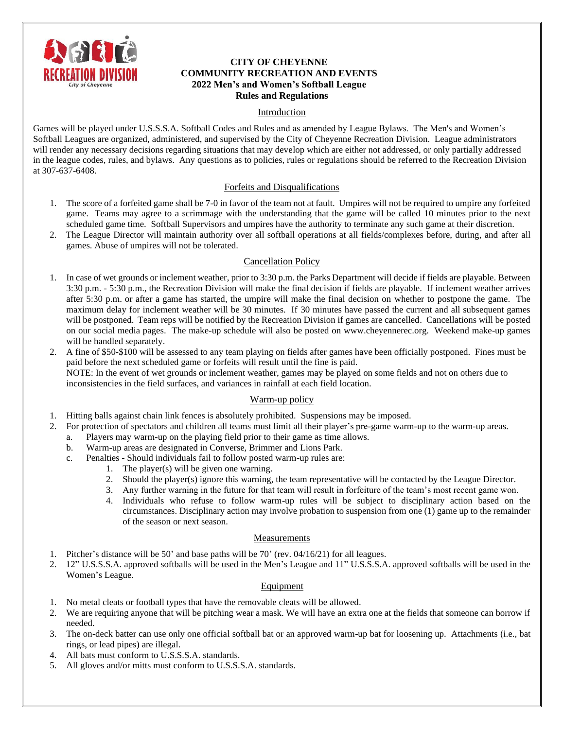

#### **CITY OF CHEYENNE COMMUNITY RECREATION AND EVENTS 2022 Men's and Women's Softball League Rules and Regulations**

## Introduction

Games will be played under U.S.S.S.A. Softball Codes and Rules and as amended by League Bylaws. The Men's and Women's Softball Leagues are organized, administered, and supervised by the City of Cheyenne Recreation Division. League administrators will render any necessary decisions regarding situations that may develop which are either not addressed, or only partially addressed in the league codes, rules, and bylaws. Any questions as to policies, rules or regulations should be referred to the Recreation Division at 307-637-6408.

#### Forfeits and Disqualifications

- 1. The score of a forfeited game shall be 7-0 in favor of the team not at fault. Umpires will not be required to umpire any forfeited game. Teams may agree to a scrimmage with the understanding that the game will be called 10 minutes prior to the next scheduled game time. Softball Supervisors and umpires have the authority to terminate any such game at their discretion.
- 2. The League Director will maintain authority over all softball operations at all fields/complexes before, during, and after all games. Abuse of umpires will not be tolerated.

## Cancellation Policy

1. In case of wet grounds or inclement weather, prior to 3:30 p.m. the Parks Department will decide if fields are playable. Between 3:30 p.m. - 5:30 p.m., the Recreation Division will make the final decision if fields are playable. If inclement weather arrives after 5:30 p.m. or after a game has started, the umpire will make the final decision on whether to postpone the game. The maximum delay for inclement weather will be 30 minutes. If 30 minutes have passed the current and all subsequent games will be postponed. Team reps will be notified by the Recreation Division if games are cancelled. Cancellations will be posted on our social media pages. The make-up schedule will also be posted on www.cheyennerec.org. Weekend make-up games will be handled separately.

2. A fine of \$50-\$100 will be assessed to any team playing on fields after games have been officially postponed. Fines must be paid before the next scheduled game or forfeits will result until the fine is paid. NOTE: In the event of wet grounds or inclement weather, games may be played on some fields and not on others due to inconsistencies in the field surfaces, and variances in rainfall at each field location.

## Warm-up policy

- 1. Hitting balls against chain link fences is absolutely prohibited.Suspensions may be imposed.
- 2. For protection of spectators and children all teams must limit all their player's pre-game warm-up to the warm-up areas.
	- a. Players may warm-up on the playing field prior to their game as time allows.
		- b. Warm-up areas are designated in Converse, Brimmer and Lions Park.
		- c. Penalties Should individuals fail to follow posted warm-up rules are:
			- 1. The player(s) will be given one warning.
			- 2. Should the player(s) ignore this warning, the team representative will be contacted by the League Director.
			- 3. Any further warning in the future for that team will result in forfeiture of the team's most recent game won.
			- 4. Individuals who refuse to follow warm-up rules will be subject to disciplinary action based on the circumstances. Disciplinary action may involve probation to suspension from one (1) game up to the remainder of the season or next season.

#### Measurements

- 1. Pitcher's distance will be 50' and base paths will be 70' (rev. 04/16/21) for all leagues.
- 2. 12" U.S.S.S.A. approved softballs will be used in the Men's League and 11" U.S.S.S.A. approved softballs will be used in the Women's League.

## Equipment

- 1. No metal cleats or football types that have the removable cleats will be allowed.
- 2. We are requiring anyone that will be pitching wear a mask. We will have an extra one at the fields that someone can borrow if needed.
- 3. The on-deck batter can use only one official softball bat or an approved warm-up bat for loosening up. Attachments (i.e., bat rings, or lead pipes) are illegal.
- 4. All bats must conform to U.S.S.S.A. standards.
- 5. All gloves and/or mitts must conform to U.S.S.S.A. standards.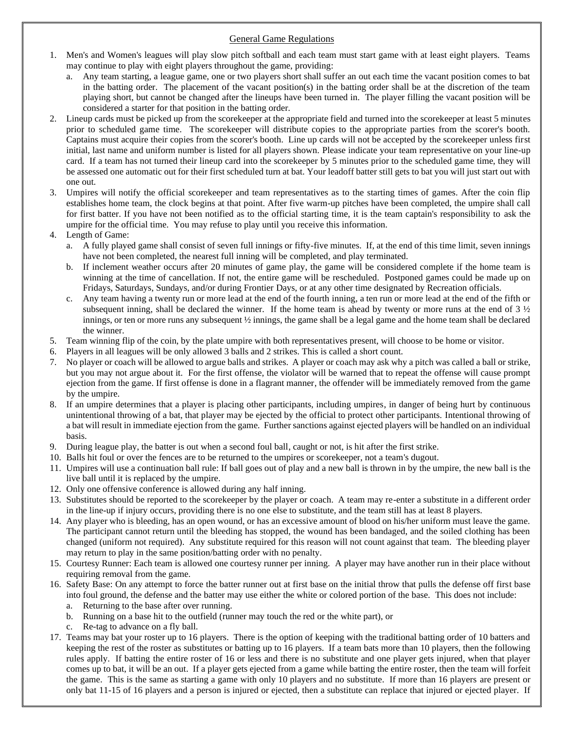# General Game Regulations

- 1. Men's and Women's leagues will play slow pitch softball and each team must start game with at least eight players. Teams may continue to play with eight players throughout the game, providing:
	- a. Any team starting, a league game, one or two players short shall suffer an out each time the vacant position comes to bat in the batting order. The placement of the vacant position(s) in the batting order shall be at the discretion of the team playing short, but cannot be changed after the lineups have been turned in. The player filling the vacant position will be considered a starter for that position in the batting order.
- 2. Lineup cards must be picked up from the scorekeeper at the appropriate field and turned into the scorekeeper at least 5 minutes prior to scheduled game time. The scorekeeper will distribute copies to the appropriate parties from the scorer's booth. Captains must acquire their copies from the scorer's booth. Line up cards will not be accepted by the scorekeeper unless first initial, last name and uniform number is listed for all players shown. Please indicate your team representative on your line-up card. If a team has not turned their lineup card into the scorekeeper by 5 minutes prior to the scheduled game time, they will be assessed one automatic out for their first scheduled turn at bat. Your leadoff batter still gets to bat you will just start out with one out.
- 3. Umpires will notify the official scorekeeper and team representatives as to the starting times of games. After the coin flip establishes home team, the clock begins at that point. After five warm-up pitches have been completed, the umpire shall call for first batter. If you have not been notified as to the official starting time, it is the team captain's responsibility to ask the umpire for the official time. You may refuse to play until you receive this information.
- 4. Length of Game:
	- a. A fully played game shall consist of seven full innings or fifty-five minutes. If, at the end of this time limit, seven innings have not been completed, the nearest full inning will be completed, and play terminated.
	- b. If inclement weather occurs after 20 minutes of game play, the game will be considered complete if the home team is winning at the time of cancellation. If not, the entire game will be rescheduled. Postponed games could be made up on Fridays, Saturdays, Sundays, and/or during Frontier Days, or at any other time designated by Recreation officials.
	- c. Any team having a twenty run or more lead at the end of the fourth inning, a ten run or more lead at the end of the fifth or subsequent inning, shall be declared the winner. If the home team is ahead by twenty or more runs at the end of  $3\frac{1}{2}$ innings, or ten or more runs any subsequent ½ innings, the game shall be a legal game and the home team shall be declared the winner.
- 5. Team winning flip of the coin, by the plate umpire with both representatives present, will choose to be home or visitor.
- 6. Players in all leagues will be only allowed 3 balls and 2 strikes. This is called a short count.
- 7. No player or coach will be allowed to argue balls and strikes. A player or coach may ask why a pitch was called a ball or strike, but you may not argue about it. For the first offense, the violator will be warned that to repeat the offense will cause prompt ejection from the game. If first offense is done in a flagrant manner, the offender will be immediately removed from the game by the umpire.
- 8. If an umpire determines that a player is placing other participants, including umpires, in danger of being hurt by continuous unintentional throwing of a bat, that player may be ejected by the official to protect other participants. Intentional throwing of a bat will result in immediate ejection from the game. Further sanctions against ejected players will be handled on an individual basis.
- 9. During league play, the batter is out when a second foul ball, caught or not, is hit after the first strike.
- 10. Balls hit foul or over the fences are to be returned to the umpires or scorekeeper, not a team's dugout.
- 11. Umpires will use a continuation ball rule: If ball goes out of play and a new ball is thrown in by the umpire, the new ball is the live ball until it is replaced by the umpire.
- 12. Only one offensive conference is allowed during any half inning.
- 13. Substitutes should be reported to the scorekeeper by the player or coach. A team may re-enter a substitute in a different order in the line-up if injury occurs, providing there is no one else to substitute, and the team still has at least 8 players.
- 14. Any player who is bleeding, has an open wound, or has an excessive amount of blood on his/her uniform must leave the game. The participant cannot return until the bleeding has stopped, the wound has been bandaged, and the soiled clothing has been changed (uniform not required). Any substitute required for this reason will not count against that team. The bleeding player may return to play in the same position/batting order with no penalty.
- 15. Courtesy Runner: Each team is allowed one courtesy runner per inning. A player may have another run in their place without requiring removal from the game.
- 16. Safety Base: On any attempt to force the batter runner out at first base on the initial throw that pulls the defense off first base into foul ground, the defense and the batter may use either the white or colored portion of the base. This does not include:
	- a. Returning to the base after over running.
	- b. Running on a base hit to the outfield (runner may touch the red or the white part), or
	- c. Re-tag to advance on a fly ball.
- 17. Teams may bat your roster up to 16 players. There is the option of keeping with the traditional batting order of 10 batters and keeping the rest of the roster as substitutes or batting up to 16 players. If a team bats more than 10 players, then the following rules apply. If batting the entire roster of 16 or less and there is no substitute and one player gets injured, when that player comes up to bat, it will be an out. If a player gets ejected from a game while batting the entire roster, then the team will forfeit the game. This is the same as starting a game with only 10 players and no substitute. If more than 16 players are present or only bat 11-15 of 16 players and a person is injured or ejected, then a substitute can replace that injured or ejected player. If